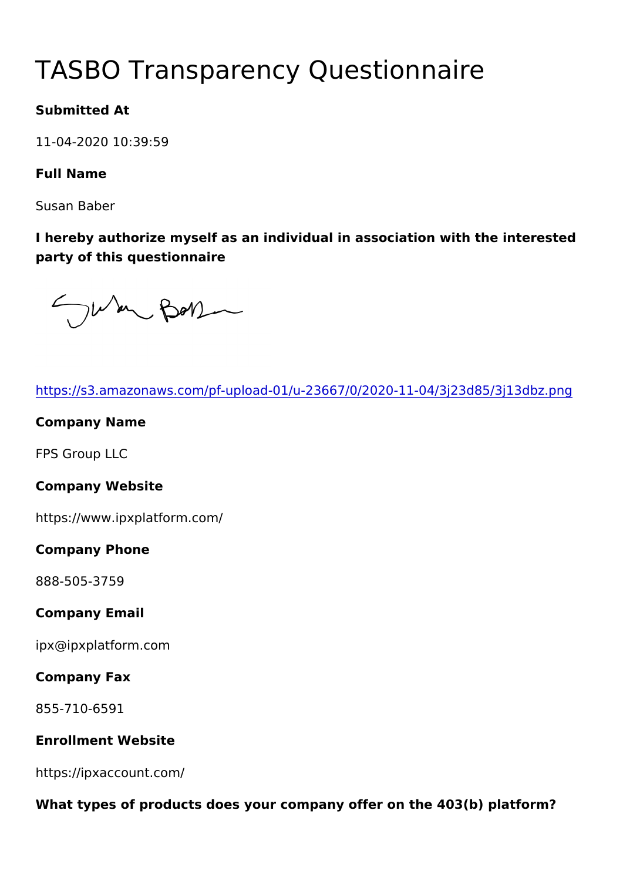# TASBO Transparency Questionna

Submitted At

11-04-2020 10:39:59

Full Name

Susan Baber

I hereby authorize myself as an individual in association with the party of this questionnaire

| https://s3.amazonaws.com/pf-upload-01/u-23667/0/2020-11-04/3j2   |
|------------------------------------------------------------------|
| Company Name                                                     |
| FPS Group LLC                                                    |
| Company Website                                                  |
| https://www.ipxplatform.com/                                     |
| Company Phone                                                    |
| 888-505-3759                                                     |
| Company Email                                                    |
| ipx@ipxplatform.com                                              |
| Company Fax                                                      |
| 855-710-6591                                                     |
| Enrollment Website                                               |
| https://ipxaccount.com/                                          |
| What types of products does your company offer on the 403(b) pla |
|                                                                  |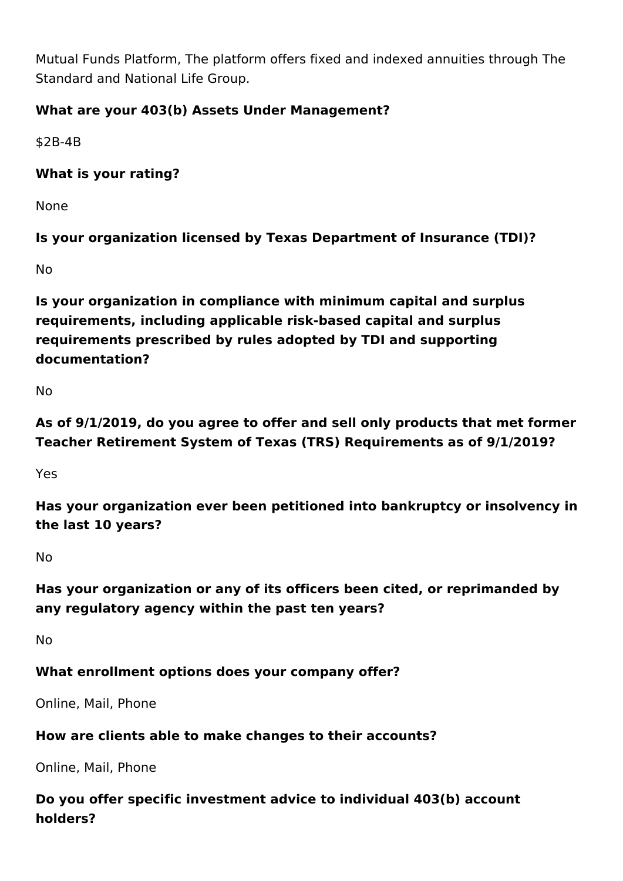Mutual Funds Platform, The platform offers fixed and indexed annuities through The Standard and National Life Group.

## **What are your 403(b) Assets Under Management?**

\$2B-4B

### **What is your rating?**

None

**Is your organization licensed by Texas Department of Insurance (TDI)?**

No

**Is your organization in compliance with minimum capital and surplus requirements, including applicable risk-based capital and surplus requirements prescribed by rules adopted by TDI and supporting documentation?**

No

**As of 9/1/2019, do you agree to offer and sell only products that met former Teacher Retirement System of Texas (TRS) Requirements as of 9/1/2019?**

Yes

**Has your organization ever been petitioned into bankruptcy or insolvency in the last 10 years?**

No

**Has your organization or any of its officers been cited, or reprimanded by any regulatory agency within the past ten years?**

No

**What enrollment options does your company offer?** 

Online, Mail, Phone

#### **How are clients able to make changes to their accounts?**

Online, Mail, Phone

**Do you offer specific investment advice to individual 403(b) account holders?**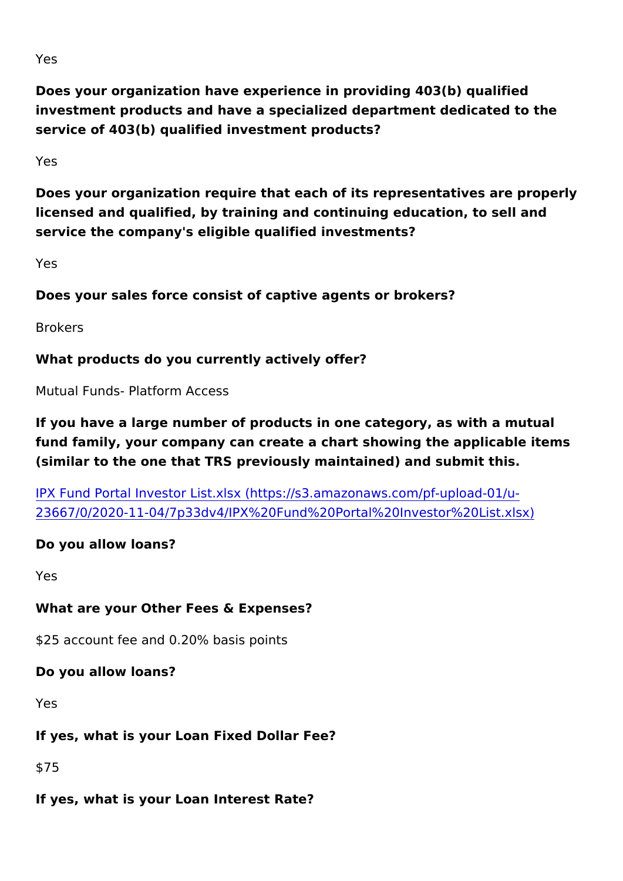Yes

Does your organization have experience in providing 403(b) quali investment products and have a specialized department dedicated service of 403(b) qualified investment products?

Yes

Does your organization require that each of its representatives a licensed and qualified, by training and continuing education, to sell service the company's eligible qualified investments?

Yes

Does your sales force consist of captive agents or brokers?

Brokers

What products do you currently actively offer?

Mutual Funds- Platform Access

If you have a large number of products in one category, as with a fund family, your company can create a chart showing the applica (similar to the one that TRS previously maintained) and submit th

[IPX Fund Portal Investor List.xlsx \(https://s3.amazona](https://s3.amazonaws.com/pf-upload-01/u-23667/0/2020-11-04/7p33dv4/IPX Fund Portal Investor List.xlsx)ws.com/pf-[23667/0/2020-11-04/7p33dv4/IPX%20Fund%20Portal%20](https://s3.amazonaws.com/pf-upload-01/u-23667/0/2020-11-04/7p33dv4/IPX Fund Portal Investor List.xlsx)Investor%

Do you allow loans?

Yes

What are your Other Fees & Expenses?

\$25 account fee and 0.20% basis points

Do you allow loans?

Yes

If yes, what is your Loan Fixed Dollar Fee?

\$75

If yes, what is your Loan Interest Rate?